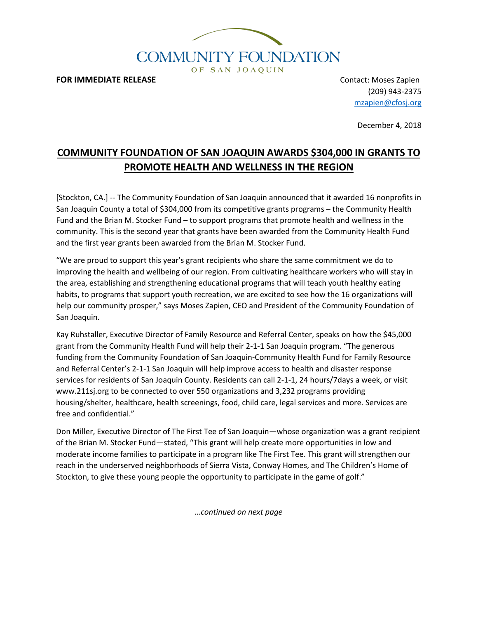

**FOR IMMEDIATE RELEASE CONTACT EXECUTES CONTACT:** Moses Zapien

(209) 943-2375 [mzapien@cfosj.org](mailto:mzapien@cfosj.org)

December 4, 2018

# **COMMUNITY FOUNDATION OF SAN JOAQUIN AWARDS \$304,000 IN GRANTS TO PROMOTE HEALTH AND WELLNESS IN THE REGION**

[Stockton, CA.] -- The Community Foundation of San Joaquin announced that it awarded 16 nonprofits in San Joaquin County a total of \$304,000 from its competitive grants programs – the Community Health Fund and the Brian M. Stocker Fund – to support programs that promote health and wellness in the community. This is the second year that grants have been awarded from the Community Health Fund and the first year grants been awarded from the Brian M. Stocker Fund.

"We are proud to support this year's grant recipients who share the same commitment we do to improving the health and wellbeing of our region. From cultivating healthcare workers who will stay in the area, establishing and strengthening educational programs that will teach youth healthy eating habits, to programs that support youth recreation, we are excited to see how the 16 organizations will help our community prosper," says Moses Zapien, CEO and President of the Community Foundation of San Joaquin.

Kay Ruhstaller, Executive Director of Family Resource and Referral Center, speaks on how the \$45,000 grant from the Community Health Fund will help their 2-1-1 San Joaquin program. "The generous funding from the Community Foundation of San Joaquin-Community Health Fund for Family Resource and Referral Center's 2-1-1 San Joaquin will help improve access to health and disaster response services for residents of San Joaquin County. Residents can call 2-1-1, 24 hours/7days a week, or visit www.211sj.org to be connected to over 550 organizations and 3,232 programs providing housing/shelter, healthcare, health screenings, food, child care, legal services and more. Services are free and confidential."

Don Miller, Executive Director of The First Tee of San Joaquin—whose organization was a grant recipient of the Brian M. Stocker Fund—stated, "This grant will help create more opportunities in low and moderate income families to participate in a program like The First Tee. This grant will strengthen our reach in the underserved neighborhoods of Sierra Vista, Conway Homes, and The Children's Home of Stockton, to give these young people the opportunity to participate in the game of golf."

*…continued on next page*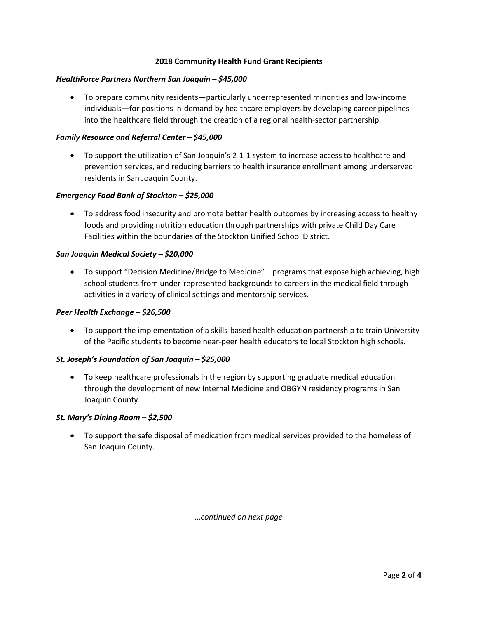## **2018 Community Health Fund Grant Recipients**

#### *HealthForce Partners Northern San Joaquin – \$45,000*

• To prepare community residents—particularly underrepresented minorities and low-income individuals—for positions in-demand by healthcare employers by developing career pipelines into the healthcare field through the creation of a regional health-sector partnership.

## *Family Resource and Referral Center – \$45,000*

• To support the utilization of San Joaquin's 2-1-1 system to increase access to healthcare and prevention services, and reducing barriers to health insurance enrollment among underserved residents in San Joaquin County.

## *Emergency Food Bank of Stockton – \$25,000*

• To address food insecurity and promote better health outcomes by increasing access to healthy foods and providing nutrition education through partnerships with private Child Day Care Facilities within the boundaries of the Stockton Unified School District.

## *San Joaquin Medical Society – \$20,000*

• To support "Decision Medicine/Bridge to Medicine"—programs that expose high achieving, high school students from under-represented backgrounds to careers in the medical field through activities in a variety of clinical settings and mentorship services.

#### *Peer Health Exchange – \$26,500*

• To support the implementation of a skills-based health education partnership to train University of the Pacific students to become near-peer health educators to local Stockton high schools.

#### *St. Joseph's Foundation of San Joaquin – \$25,000*

• To keep healthcare professionals in the region by supporting graduate medical education through the development of new Internal Medicine and OBGYN residency programs in San Joaquin County.

#### *St. Mary's Dining Room – \$2,500*

• To support the safe disposal of medication from medical services provided to the homeless of San Joaquin County.

*…continued on next page*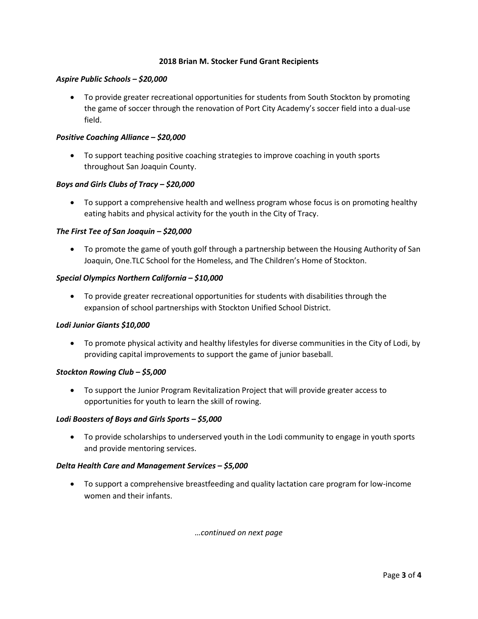## **2018 Brian M. Stocker Fund Grant Recipients**

## *Aspire Public Schools – \$20,000*

• To provide greater recreational opportunities for students from South Stockton by promoting the game of soccer through the renovation of Port City Academy's soccer field into a dual-use field.

## *Positive Coaching Alliance – \$20,000*

• To support teaching positive coaching strategies to improve coaching in youth sports throughout San Joaquin County.

## *Boys and Girls Clubs of Tracy – \$20,000*

• To support a comprehensive health and wellness program whose focus is on promoting healthy eating habits and physical activity for the youth in the City of Tracy.

## *The First Tee of San Joaquin – \$20,000*

• To promote the game of youth golf through a partnership between the Housing Authority of San Joaquin, One.TLC School for the Homeless, and The Children's Home of Stockton.

## *Special Olympics Northern California – \$10,000*

• To provide greater recreational opportunities for students with disabilities through the expansion of school partnerships with Stockton Unified School District.

#### *Lodi Junior Giants \$10,000*

• To promote physical activity and healthy lifestyles for diverse communities in the City of Lodi, by providing capital improvements to support the game of junior baseball.

#### *Stockton Rowing Club – \$5,000*

• To support the Junior Program Revitalization Project that will provide greater access to opportunities for youth to learn the skill of rowing.

#### *Lodi Boosters of Boys and Girls Sports – \$5,000*

• To provide scholarships to underserved youth in the Lodi community to engage in youth sports and provide mentoring services.

#### *Delta Health Care and Management Services – \$5,000*

• To support a comprehensive breastfeeding and quality lactation care program for low-income women and their infants.

*…continued on next page*